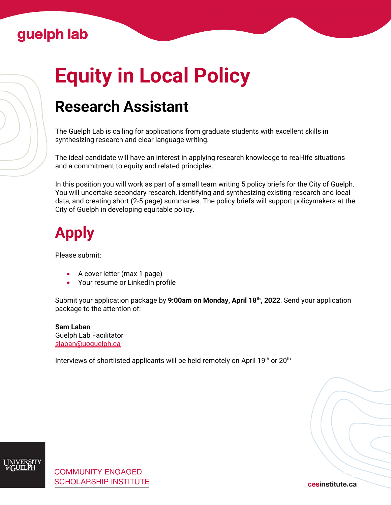### Guelph lab

# **Equity in Local Policy**

# **Research Assistant**

The Guelph Lab is calling for applications from graduate students with excellent skills in synthesizing research and clear language writing.

The ideal candidate will have an interest in applying research knowledge to real-life situations and a commitment to equity and related principles.

In this position you will work as part of a small team writing 5 policy briefs for the City of Guelph. You will undertake secondary research, identifying and synthesizing existing research and local data, and creating short (2-5 page) summaries. The policy briefs will support policymakers at the City of Guelph in developing equitable policy.

# **Apply**

Please submit:

- A cover letter (max 1 page)
- Your resume or LinkedIn profile

Submit your application package by **9:00am on Monday, April 18th, 2022**. Send your application package to the attention of:

#### **Sam Laban** Guelph Lab Facilitator [slaban@uoguelph.ca](mailto:slaban@uoguelph.ca)

Interviews of shortlisted applicants will be held remotely on April 19th or 20th



cesinstitute.ca

[Cesinstitute.ca](https://www.cesinstitute.ca/)